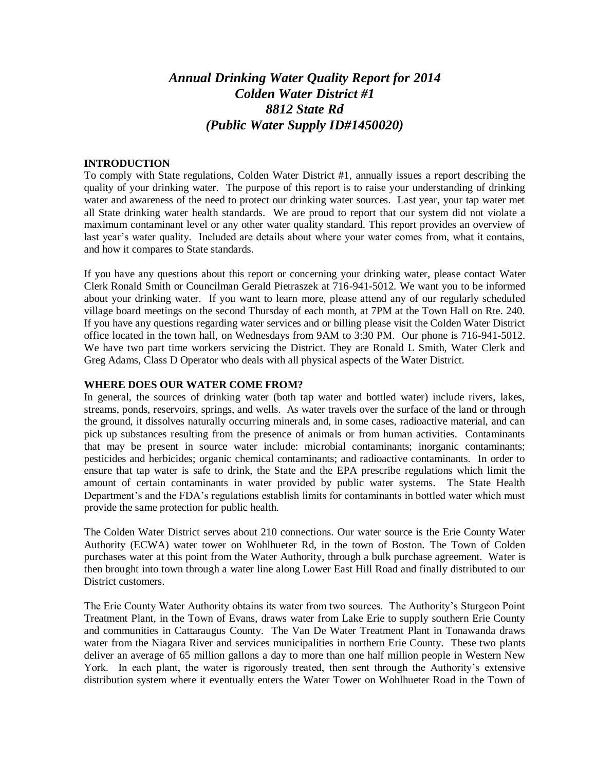# *Annual Drinking Water Quality Report for 2014 Colden Water District #1 8812 State Rd (Public Water Supply ID#1450020)*

#### **INTRODUCTION**

To comply with State regulations, Colden Water District #1, annually issues a report describing the quality of your drinking water. The purpose of this report is to raise your understanding of drinking water and awareness of the need to protect our drinking water sources. Last year, your tap water met all State drinking water health standards. We are proud to report that our system did not violate a maximum contaminant level or any other water quality standard. This report provides an overview of last year's water quality. Included are details about where your water comes from, what it contains, and how it compares to State standards.

If you have any questions about this report or concerning your drinking water, please contact Water Clerk Ronald Smith or Councilman Gerald Pietraszek at 716-941-5012. We want you to be informed about your drinking water. If you want to learn more, please attend any of our regularly scheduled village board meetings on the second Thursday of each month, at 7PM at the Town Hall on Rte. 240. If you have any questions regarding water services and or billing please visit the Colden Water District office located in the town hall, on Wednesdays from 9AM to 3:30 PM. Our phone is 716-941-5012. We have two part time workers servicing the District. They are Ronald L Smith, Water Clerk and Greg Adams, Class D Operator who deals with all physical aspects of the Water District.

#### **WHERE DOES OUR WATER COME FROM?**

In general, the sources of drinking water (both tap water and bottled water) include rivers, lakes, streams, ponds, reservoirs, springs, and wells. As water travels over the surface of the land or through the ground, it dissolves naturally occurring minerals and, in some cases, radioactive material, and can pick up substances resulting from the presence of animals or from human activities. Contaminants that may be present in source water include: microbial contaminants; inorganic contaminants; pesticides and herbicides; organic chemical contaminants; and radioactive contaminants. In order to ensure that tap water is safe to drink, the State and the EPA prescribe regulations which limit the amount of certain contaminants in water provided by public water systems. The State Health Department's and the FDA's regulations establish limits for contaminants in bottled water which must provide the same protection for public health.

The Colden Water District serves about 210 connections. Our water source is the Erie County Water Authority (ECWA) water tower on Wohlhueter Rd, in the town of Boston. The Town of Colden purchases water at this point from the Water Authority, through a bulk purchase agreement. Water is then brought into town through a water line along Lower East Hill Road and finally distributed to our District customers.

The Erie County Water Authority obtains its water from two sources. The Authority's Sturgeon Point Treatment Plant, in the Town of Evans, draws water from Lake Erie to supply southern Erie County and communities in Cattaraugus County. The Van De Water Treatment Plant in Tonawanda draws water from the Niagara River and services municipalities in northern Erie County. These two plants deliver an average of 65 million gallons a day to more than one half million people in Western New York. In each plant, the water is rigorously treated, then sent through the Authority's extensive distribution system where it eventually enters the Water Tower on Wohlhueter Road in the Town of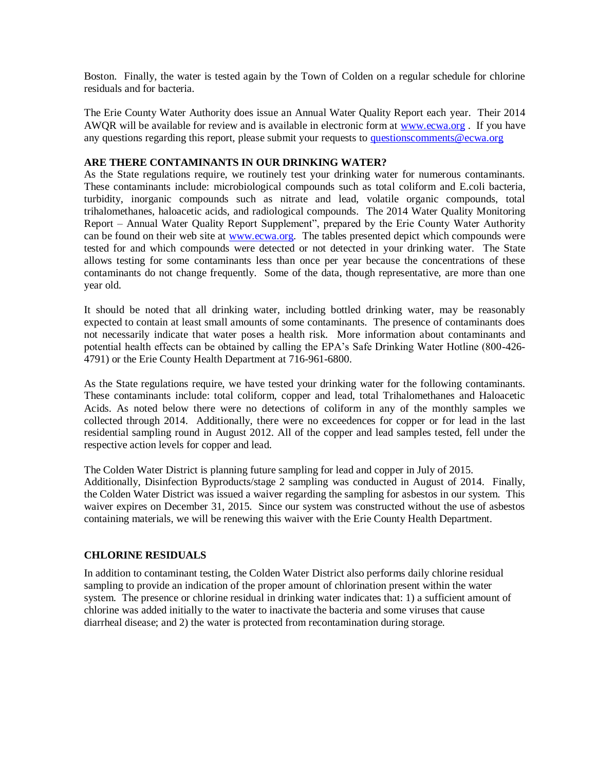Boston. Finally, the water is tested again by the Town of Colden on a regular schedule for chlorine residuals and for bacteria.

The Erie County Water Authority does issue an Annual Water Quality Report each year. Their 2014 AWQR will be available for review and is available in electronic form at [www.ecwa.org](http://www.ecwa.org/) . If you have any questions regarding this report, please submit your requests to [questionscomments@ecwa.org](mailto:questionscomments@ecwa.org)

#### **ARE THERE CONTAMINANTS IN OUR DRINKING WATER?**

As the State regulations require, we routinely test your drinking water for numerous contaminants. These contaminants include: microbiological compounds such as total coliform and E.coli bacteria, turbidity, inorganic compounds such as nitrate and lead, volatile organic compounds, total trihalomethanes, haloacetic acids, and radiological compounds. The 2014 Water Quality Monitoring Report – Annual Water Quality Report Supplement", prepared by the Erie County Water Authority can be found on their web site at [www.ecwa.org.](http://www.ecwa.org/) The tables presented depict which compounds were tested for and which compounds were detected or not detected in your drinking water. The State allows testing for some contaminants less than once per year because the concentrations of these contaminants do not change frequently. Some of the data, though representative, are more than one year old.

It should be noted that all drinking water, including bottled drinking water, may be reasonably expected to contain at least small amounts of some contaminants. The presence of contaminants does not necessarily indicate that water poses a health risk. More information about contaminants and potential health effects can be obtained by calling the EPA's Safe Drinking Water Hotline (800-426- 4791) or the Erie County Health Department at 716-961-6800.

As the State regulations require, we have tested your drinking water for the following contaminants. These contaminants include: total coliform, copper and lead, total Trihalomethanes and Haloacetic Acids. As noted below there were no detections of coliform in any of the monthly samples we collected through 2014. Additionally, there were no exceedences for copper or for lead in the last residential sampling round in August 2012. All of the copper and lead samples tested, fell under the respective action levels for copper and lead.

The Colden Water District is planning future sampling for lead and copper in July of 2015. Additionally, Disinfection Byproducts/stage 2 sampling was conducted in August of 2014. Finally, the Colden Water District was issued a waiver regarding the sampling for asbestos in our system. This waiver expires on December 31, 2015. Since our system was constructed without the use of asbestos containing materials, we will be renewing this waiver with the Erie County Health Department.

# **CHLORINE RESIDUALS**

In addition to contaminant testing, the Colden Water District also performs daily chlorine residual sampling to provide an indication of the proper amount of chlorination present within the water system. The presence or chlorine residual in drinking water indicates that: 1) a sufficient amount of chlorine was added initially to the water to inactivate the bacteria and some viruses that cause diarrheal disease; and 2) the water is protected from recontamination during storage.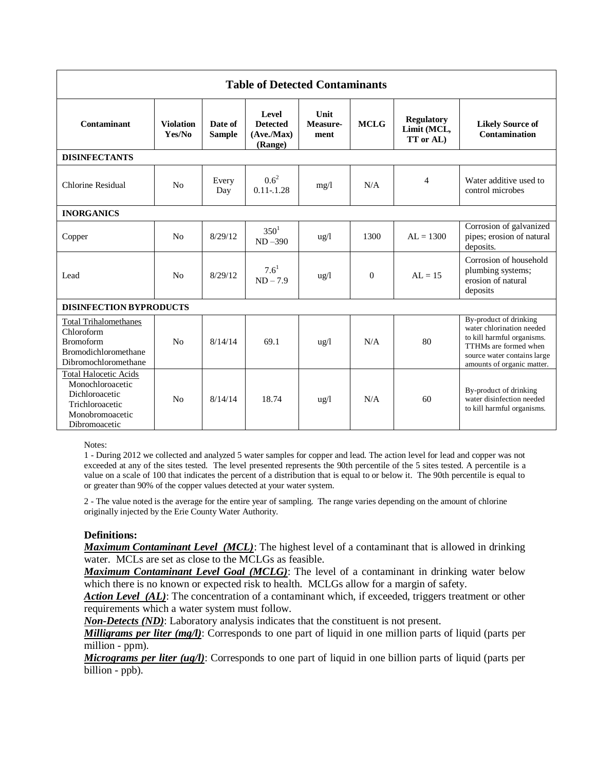| <b>Table of Detected Contaminants</b>                                                                                     |                            |                          |                                                  |                          |             |                                                      |                                                                                                                                                                         |
|---------------------------------------------------------------------------------------------------------------------------|----------------------------|--------------------------|--------------------------------------------------|--------------------------|-------------|------------------------------------------------------|-------------------------------------------------------------------------------------------------------------------------------------------------------------------------|
| <b>Contaminant</b>                                                                                                        | <b>Violation</b><br>Yes/No | Date of<br><b>Sample</b> | Level<br><b>Detected</b><br>(Ave/Max)<br>(Range) | Unit<br>Measure-<br>ment | <b>MCLG</b> | <b>Regulatory</b><br>Limit (MCL,<br><b>TT</b> or AL) | <b>Likely Source of</b><br>Contamination                                                                                                                                |
| <b>DISINFECTANTS</b>                                                                                                      |                            |                          |                                                  |                          |             |                                                      |                                                                                                                                                                         |
| Chlorine Residual                                                                                                         | N <sub>0</sub>             | Every<br>Day             | $0.6^2$<br>$0.11 - 1.28$                         | mg/1                     | N/A         | 4                                                    | Water additive used to<br>control microbes                                                                                                                              |
| <b>INORGANICS</b>                                                                                                         |                            |                          |                                                  |                          |             |                                                      |                                                                                                                                                                         |
| Copper                                                                                                                    | No                         | 8/29/12                  | $350^1$<br>$ND - 390$                            | $\frac{1}{2}$            | 1300        | $AL = 1300$                                          | Corrosion of galvanized<br>pipes; erosion of natural<br>deposits.                                                                                                       |
| Lead                                                                                                                      | N <sub>0</sub>             | 8/29/12                  | $7.6^{1}$<br>$ND - 7.9$                          | $\frac{u g}{l}$          | $\Omega$    | $AL = 15$                                            | Corrosion of household<br>plumbing systems;<br>erosion of natural<br>deposits                                                                                           |
| <b>DISINFECTION BYPRODUCTS</b>                                                                                            |                            |                          |                                                  |                          |             |                                                      |                                                                                                                                                                         |
| <b>Total Trihalomethanes</b><br>Chloroform<br><b>Bromoform</b><br>Bromodichloromethane<br>Dibromochloromethane            | No                         | 8/14/14                  | 69.1                                             | $\frac{u\alpha}{l}$      | N/A         | 80                                                   | By-product of drinking<br>water chlorination needed<br>to kill harmful organisms.<br>TTHMs are formed when<br>source water contains large<br>amounts of organic matter. |
| <b>Total Halocetic Acids</b><br>Monochloroacetic<br>Dichloroacetic<br>Trichloroacetic<br>Monobromoacetic<br>Dibromoacetic | No                         | 8/14/14                  | 18.74                                            | $\frac{u g}{l}$          | N/A         | 60                                                   | By-product of drinking<br>water disinfection needed<br>to kill harmful organisms.                                                                                       |

Notes:

1 - During 2012 we collected and analyzed 5 water samples for copper and lead. The action level for lead and copper was not exceeded at any of the sites tested. The level presented represents the 90th percentile of the 5 sites tested. A percentile is a value on a scale of 100 that indicates the percent of a distribution that is equal to or below it. The 90th percentile is equal to or greater than 90% of the copper values detected at your water system.

2 - The value noted is the average for the entire year of sampling. The range varies depending on the amount of chlorine originally injected by the Erie County Water Authority.

#### **Definitions:**

*Maximum Contaminant Level (MCL)*: The highest level of a contaminant that is allowed in drinking water. MCLs are set as close to the MCLGs as feasible.

*Maximum Contaminant Level Goal (MCLG)*: The level of a contaminant in drinking water below which there is no known or expected risk to health. MCLGs allow for a margin of safety.

Action Level (AL): The concentration of a contaminant which, if exceeded, triggers treatment or other requirements which a water system must follow.

*Non-Detects (ND)*: Laboratory analysis indicates that the constituent is not present.

*Milligrams per liter (mg/l)*: Corresponds to one part of liquid in one million parts of liquid (parts per million - ppm).

*Micrograms per liter (ug/l)*: Corresponds to one part of liquid in one billion parts of liquid (parts per billion - ppb).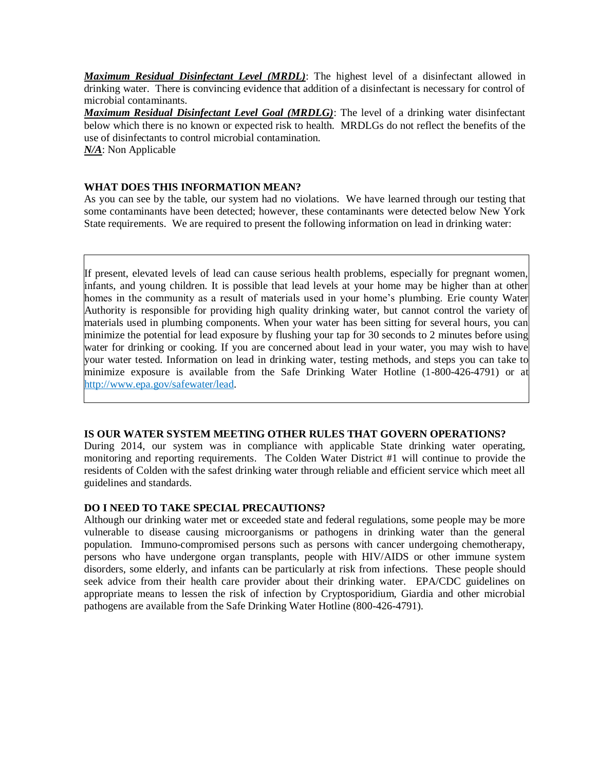*Maximum Residual Disinfectant Level (MRDL)*: The highest level of a disinfectant allowed in drinking water. There is convincing evidence that addition of a disinfectant is necessary for control of microbial contaminants.

*Maximum Residual Disinfectant Level Goal (MRDLG)*: The level of a drinking water disinfectant below which there is no known or expected risk to health. MRDLGs do not reflect the benefits of the use of disinfectants to control microbial contamination.

*N/A*: Non Applicable

# **WHAT DOES THIS INFORMATION MEAN?**

As you can see by the table, our system had no violations. We have learned through our testing that some contaminants have been detected; however, these contaminants were detected below New York State requirements. We are required to present the following information on lead in drinking water:

If present, elevated levels of lead can cause serious health problems, especially for pregnant women, infants, and young children. It is possible that lead levels at your home may be higher than at other homes in the community as a result of materials used in your home's plumbing. Erie county Water Authority is responsible for providing high quality drinking water, but cannot control the variety of materials used in plumbing components. When your water has been sitting for several hours, you can minimize the potential for lead exposure by flushing your tap for 30 seconds to 2 minutes before using water for drinking or cooking. If you are concerned about lead in your water, you may wish to have your water tested. Information on lead in drinking water, testing methods, and steps you can take to minimize exposure is available from the Safe Drinking Water Hotline (1-800-426-4791) or at http://www.epa.gov/safewater/lead.

# **IS OUR WATER SYSTEM MEETING OTHER RULES THAT GOVERN OPERATIONS?**

During 2014, our system was in compliance with applicable State drinking water operating, monitoring and reporting requirements. The Colden Water District #1 will continue to provide the residents of Colden with the safest drinking water through reliable and efficient service which meet all guidelines and standards.

# **DO I NEED TO TAKE SPECIAL PRECAUTIONS?**

Although our drinking water met or exceeded state and federal regulations, some people may be more vulnerable to disease causing microorganisms or pathogens in drinking water than the general population. Immuno-compromised persons such as persons with cancer undergoing chemotherapy, persons who have undergone organ transplants, people with HIV/AIDS or other immune system disorders, some elderly, and infants can be particularly at risk from infections. These people should seek advice from their health care provider about their drinking water. EPA/CDC guidelines on appropriate means to lessen the risk of infection by Cryptosporidium, Giardia and other microbial pathogens are available from the Safe Drinking Water Hotline (800-426-4791).